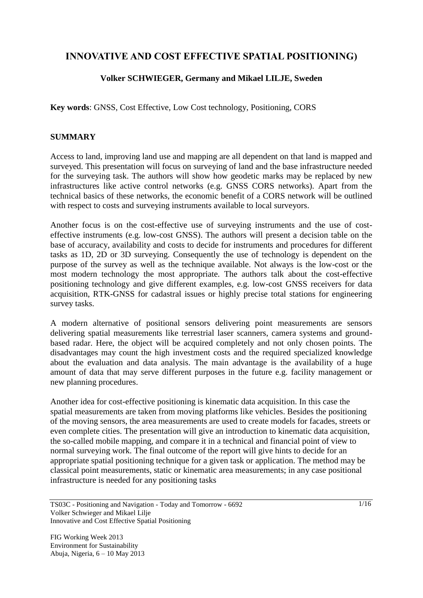# **INNOVATIVE AND COST EFFECTIVE SPATIAL POSITIONING)**

## **Volker SCHWIEGER, Germany and Mikael LILJE, Sweden**

**Key words**: GNSS, Cost Effective, Low Cost technology, Positioning, CORS

#### **SUMMARY**

Access to land, improving land use and mapping are all dependent on that land is mapped and surveyed. This presentation will focus on surveying of land and the base infrastructure needed for the surveying task. The authors will show how geodetic marks may be replaced by new infrastructures like active control networks (e.g. GNSS CORS networks). Apart from the technical basics of these networks, the economic benefit of a CORS network will be outlined with respect to costs and surveying instruments available to local surveyors.

Another focus is on the cost-effective use of surveying instruments and the use of costeffective instruments (e.g. low-cost GNSS). The authors will present a decision table on the base of accuracy, availability and costs to decide for instruments and procedures for different tasks as 1D, 2D or 3D surveying. Consequently the use of technology is dependent on the purpose of the survey as well as the technique available. Not always is the low-cost or the most modern technology the most appropriate. The authors talk about the cost-effective positioning technology and give different examples, e.g. low-cost GNSS receivers for data acquisition, RTK-GNSS for cadastral issues or highly precise total stations for engineering survey tasks.

A modern alternative of positional sensors delivering point measurements are sensors delivering spatial measurements like terrestrial laser scanners, camera systems and groundbased radar. Here, the object will be acquired completely and not only chosen points. The disadvantages may count the high investment costs and the required specialized knowledge about the evaluation and data analysis. The main advantage is the availability of a huge amount of data that may serve different purposes in the future e.g. facility management or new planning procedures.

Another idea for cost-effective positioning is kinematic data acquisition. In this case the spatial measurements are taken from moving platforms like vehicles. Besides the positioning of the moving sensors, the area measurements are used to create models for facades, streets or even complete cities. The presentation will give an introduction to kinematic data acquisition, the so-called mobile mapping, and compare it in a technical and financial point of view to normal surveying work. The final outcome of the report will give hints to decide for an appropriate spatial positioning technique for a given task or application. The method may be classical point measurements, static or kinematic area measurements; in any case positional infrastructure is needed for any positioning tasks

TS03C - Positioning and Navigation - Today and Tomorrow - 6692 Volker Schwieger and Mikael Lilje Innovative and Cost Effective Spatial Positioning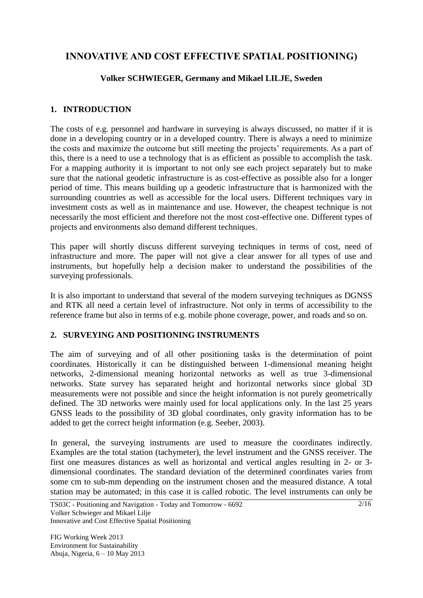# **INNOVATIVE AND COST EFFECTIVE SPATIAL POSITIONING)**

# **Volker SCHWIEGER, Germany and Mikael LILJE, Sweden**

## **1. INTRODUCTION**

The costs of e.g. personnel and hardware in surveying is always discussed, no matter if it is done in a developing country or in a developed country. There is always a need to minimize the costs and maximize the outcome but still meeting the projects' requirements. As a part of this, there is a need to use a technology that is as efficient as possible to accomplish the task. For a mapping authority it is important to not only see each project separately but to make sure that the national geodetic infrastructure is as cost-effective as possible also for a longer period of time. This means building up a geodetic infrastructure that is harmonized with the surrounding countries as well as accessible for the local users. Different techniques vary in investment costs as well as in maintenance and use. However, the cheapest technique is not necessarily the most efficient and therefore not the most cost-effective one. Different types of projects and environments also demand different techniques.

This paper will shortly discuss different surveying techniques in terms of cost, need of infrastructure and more. The paper will not give a clear answer for all types of use and instruments, but hopefully help a decision maker to understand the possibilities of the surveying professionals.

It is also important to understand that several of the modern surveying techniques as DGNSS and RTK all need a certain level of infrastructure. Not only in terms of accessibility to the reference frame but also in terms of e.g. mobile phone coverage, power, and roads and so on.

# **2. SURVEYING AND POSITIONING INSTRUMENTS**

The aim of surveying and of all other positioning tasks is the determination of point coordinates. Historically it can be distinguished between 1-dimensional meaning height networks, 2-dimensional meaning horizontal networks as well as true 3-dimensional networks. State survey has separated height and horizontal networks since global 3D measurements were not possible and since the height information is not purely geometrically defined. The 3D networks were mainly used for local applications only. In the last 25 years GNSS leads to the possibility of 3D global coordinates, only gravity information has to be added to get the correct height information (e.g. Seeber, 2003).

In general, the surveying instruments are used to measure the coordinates indirectly. Examples are the total station (tachymeter), the level instrument and the GNSS receiver. The first one measures distances as well as horizontal and vertical angles resulting in 2- or 3 dimensional coordinates. The standard deviation of the determined coordinates varies from some cm to sub-mm depending on the instrument chosen and the measured distance. A total station may be automated; in this case it is called robotic. The level instruments can only be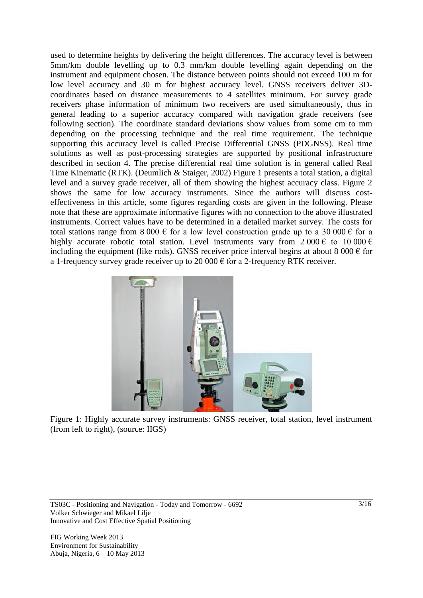used to determine heights by delivering the height differences. The accuracy level is between 5mm/km double levelling up to 0.3 mm/km double levelling again depending on the instrument and equipment chosen. The distance between points should not exceed 100 m for low level accuracy and 30 m for highest accuracy level. GNSS receivers deliver 3Dcoordinates based on distance measurements to 4 satellites minimum. For survey grade receivers phase information of minimum two receivers are used simultaneously, thus in general leading to a superior accuracy compared with navigation grade receivers (see following section). The coordinate standard deviations show values from some cm to mm depending on the processing technique and the real time requirement. The technique supporting this accuracy level is called Precise Differential GNSS (PDGNSS). Real time solutions as well as post-processing strategies are supported by positional infrastructure described in section 4. The precise differential real time solution is in general called Real Time Kinematic (RTK). (Deumlich & Staiger, 2002) Figure 1 presents a total station, a digital level and a survey grade receiver, all of them showing the highest accuracy class. Figure 2 shows the same for low accuracy instruments. Since the authors will discuss costeffectiveness in this article, some figures regarding costs are given in the following. Please note that these are approximate informative figures with no connection to the above illustrated instruments. Correct values have to be determined in a detailed market survey. The costs for total stations range from 8 000  $\epsilon$  for a low level construction grade up to a 30 000  $\epsilon$  for a highly accurate robotic total station. Level instruments vary from  $2\,000\,\epsilon$  to  $10\,000\,\epsilon$ including the equipment (like rods). GNSS receiver price interval begins at about 8 000  $\epsilon$  for a 1-frequency survey grade receiver up to 20 000  $\epsilon$  for a 2-frequency RTK receiver.



Figure 1: Highly accurate survey instruments: GNSS receiver, total station, level instrument (from left to right), (source: IIGS)

TS03C - Positioning and Navigation - Today and Tomorrow - 6692 Volker Schwieger and Mikael Lilje Innovative and Cost Effective Spatial Positioning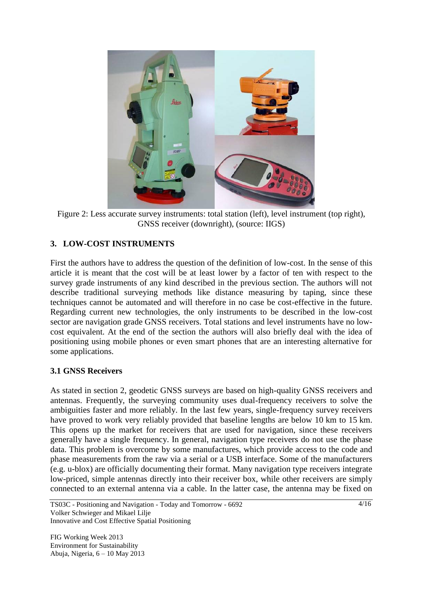

Figure 2: Less accurate survey instruments: total station (left), level instrument (top right), GNSS receiver (downright), (source: IIGS)

# **3. LOW-COST INSTRUMENTS**

First the authors have to address the question of the definition of low-cost. In the sense of this article it is meant that the cost will be at least lower by a factor of ten with respect to the survey grade instruments of any kind described in the previous section. The authors will not describe traditional surveying methods like distance measuring by taping, since these techniques cannot be automated and will therefore in no case be cost-effective in the future. Regarding current new technologies, the only instruments to be described in the low-cost sector are navigation grade GNSS receivers. Total stations and level instruments have no lowcost equivalent. At the end of the section the authors will also briefly deal with the idea of positioning using mobile phones or even smart phones that are an interesting alternative for some applications.

## **3.1 GNSS Receivers**

As stated in section 2, geodetic GNSS surveys are based on high-quality GNSS receivers and antennas. Frequently, the surveying community uses dual-frequency receivers to solve the ambiguities faster and more reliably. In the last few years, single-frequency survey receivers have proved to work very reliably provided that baseline lengths are below 10 km to 15 km. This opens up the market for receivers that are used for navigation, since these receivers generally have a single frequency. In general, navigation type receivers do not use the phase data. This problem is overcome by some manufactures, which provide access to the code and phase measurements from the raw via a serial or a USB interface. Some of the manufacturers (e.g. u-blox) are officially documenting their format. Many navigation type receivers integrate low-priced, simple antennas directly into their receiver box, while other receivers are simply connected to an external antenna via a cable. In the latter case, the antenna may be fixed on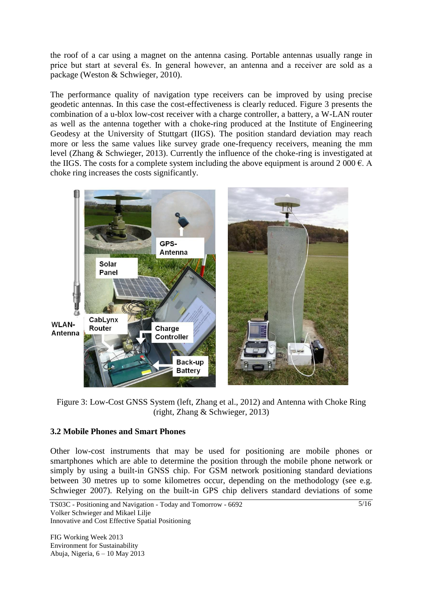the roof of a car using a magnet on the antenna casing. Portable antennas usually range in price but start at several €s. In general however, an antenna and a receiver are sold as a package (Weston & Schwieger, 2010).

The performance quality of navigation type receivers can be improved by using precise geodetic antennas. In this case the cost-effectiveness is clearly reduced. Figure 3 presents the combination of a u-blox low-cost receiver with a charge controller, a battery, a W-LAN router as well as the antenna together with a choke-ring produced at the Institute of Engineering Geodesy at the University of Stuttgart (IIGS). The position standard deviation may reach more or less the same values like survey grade one-frequency receivers, meaning the mm level (Zhang & Schwieger, 2013). Currently the influence of the choke-ring is investigated at the IIGS. The costs for a complete system including the above equipment is around 2 000  $\epsilon$ . A choke ring increases the costs significantly.



Figure 3: Low-Cost GNSS System (left, Zhang et al., 2012) and Antenna with Choke Ring (right, Zhang & Schwieger, 2013)

## **3.2 Mobile Phones and Smart Phones**

Other low-cost instruments that may be used for positioning are mobile phones or smartphones which are able to determine the position through the mobile phone network or simply by using a built-in GNSS chip. For GSM network positioning standard deviations between 30 metres up to some kilometres occur, depending on the methodology (see e.g. Schwieger 2007). Relying on the built-in GPS chip delivers standard deviations of some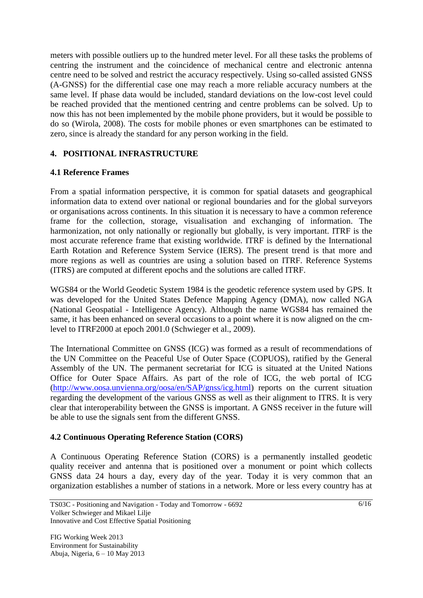meters with possible outliers up to the hundred meter level. For all these tasks the problems of centring the instrument and the coincidence of mechanical centre and electronic antenna centre need to be solved and restrict the accuracy respectively. Using so-called assisted GNSS (A-GNSS) for the differential case one may reach a more reliable accuracy numbers at the same level. If phase data would be included, standard deviations on the low-cost level could be reached provided that the mentioned centring and centre problems can be solved. Up to now this has not been implemented by the mobile phone providers, but it would be possible to do so (Wirola, 2008). The costs for mobile phones or even smartphones can be estimated to zero, since is already the standard for any person working in the field.

# **4. POSITIONAL INFRASTRUCTURE**

## **4.1 Reference Frames**

From a spatial information perspective, it is common for spatial datasets and geographical information data to extend over national or regional boundaries and for the global surveyors or organisations across continents. In this situation it is necessary to have a common reference frame for the collection, storage, visualisation and exchanging of information. The harmonization, not only nationally or regionally but globally, is very important. ITRF is the most accurate reference frame that existing worldwide. ITRF is defined by the International Earth Rotation and Reference System Service (IERS). The present trend is that more and more regions as well as countries are using a solution based on ITRF. Reference Systems (ITRS) are computed at different epochs and the solutions are called ITRF.

WGS84 or the World Geodetic System 1984 is the geodetic reference system used by GPS. It was developed for the United States Defence Mapping Agency (DMA), now called NGA (National Geospatial - Intelligence Agency). Although the name WGS84 has remained the same, it has been enhanced on several occasions to a point where it is now aligned on the cmlevel to ITRF2000 at epoch 2001.0 (Schwieger et al., 2009).

The International Committee on GNSS (ICG) was formed as a result of recommendations of the UN Committee on the Peaceful Use of Outer Space (COPUOS), ratified by the General Assembly of the UN. The permanent secretariat for ICG is situated at the United Nations Office for Outer Space Affairs. As part of the role of ICG, the web portal of ICG [\(http://www.oosa.unvienna.org/oosa/en/SAP/gnss/icg.html\)](http://www.oosa.unvienna.org/oosa/en/SAP/gnss/icg.html) reports on the current situation regarding the development of the various GNSS as well as their alignment to ITRS. It is very clear that interoperability between the GNSS is important. A GNSS receiver in the future will be able to use the signals sent from the different GNSS.

# **4.2 Continuous Operating Reference Station (CORS)**

A Continuous Operating Reference Station (CORS) is a permanently installed geodetic quality receiver and antenna that is positioned over a monument or point which collects GNSS data 24 hours a day, every day of the year. Today it is very common that an organization establishes a number of stations in a network. More or less every country has at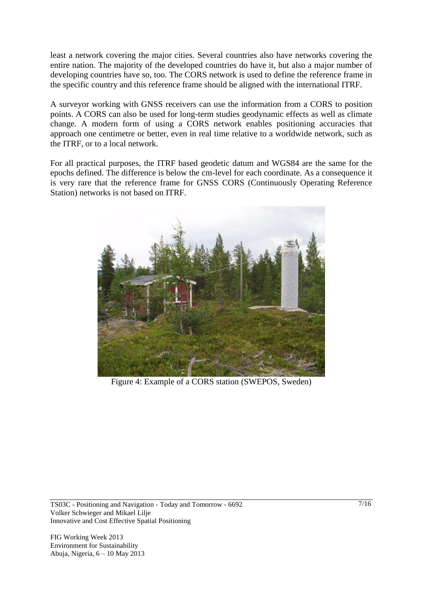least a network covering the major cities. Several countries also have networks covering the entire nation. The majority of the developed countries do have it, but also a major number of developing countries have so, too. The CORS network is used to define the reference frame in the specific country and this reference frame should be aligned with the international ITRF.

A surveyor working with GNSS receivers can use the information from a CORS to position points. A CORS can also be used for long-term studies geodynamic effects as well as climate change. A modern form of using a CORS network enables positioning accuracies that approach one centimetre or better, even in real time relative to a worldwide network, such as the ITRF, or to a local network.

For all practical purposes, the ITRF based geodetic datum and WGS84 are the same for the epochs defined. The difference is below the cm-level for each coordinate. As a consequence it is very rare that the reference frame for GNSS CORS (Continuously Operating Reference Station) networks is not based on ITRF.



Figure 4: Example of a CORS station (SWEPOS, Sweden)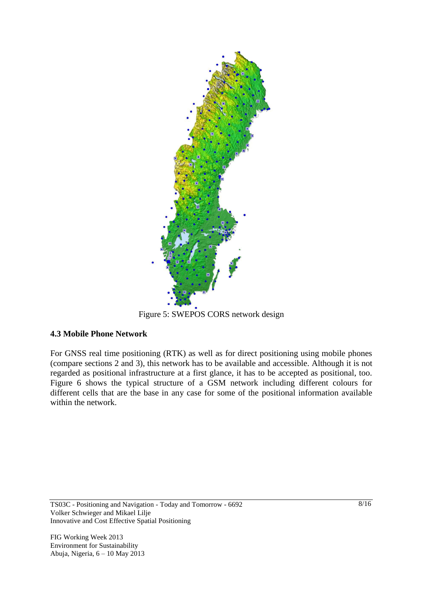

Figure 5: SWEPOS CORS network design

## **4.3 Mobile Phone Network**

For GNSS real time positioning (RTK) as well as for direct positioning using mobile phones (compare sections 2 and 3), this network has to be available and accessible. Although it is not regarded as positional infrastructure at a first glance, it has to be accepted as positional, too. Figure 6 shows the typical structure of a GSM network including different colours for different cells that are the base in any case for some of the positional information available within the network.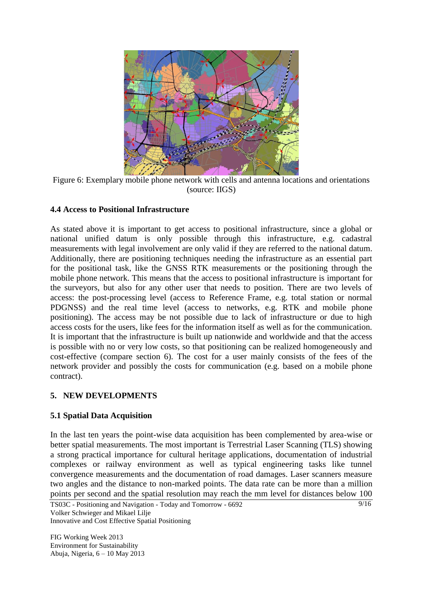

Figure 6: Exemplary mobile phone network with cells and antenna locations and orientations (source: IIGS)

## **4.4 Access to Positional Infrastructure**

As stated above it is important to get access to positional infrastructure, since a global or national unified datum is only possible through this infrastructure, e.g. cadastral measurements with legal involvement are only valid if they are referred to the national datum. Additionally, there are positioning techniques needing the infrastructure as an essential part for the positional task, like the GNSS RTK measurements or the positioning through the mobile phone network. This means that the access to positional infrastructure is important for the surveyors, but also for any other user that needs to position. There are two levels of access: the post-processing level (access to Reference Frame, e.g. total station or normal PDGNSS) and the real time level (access to networks, e.g. RTK and mobile phone positioning). The access may be not possible due to lack of infrastructure or due to high access costs for the users, like fees for the information itself as well as for the communication. It is important that the infrastructure is built up nationwide and worldwide and that the access is possible with no or very low costs, so that positioning can be realized homogeneously and cost-effective (compare section 6). The cost for a user mainly consists of the fees of the network provider and possibly the costs for communication (e.g. based on a mobile phone contract).

#### **5. NEW DEVELOPMENTS**

## **5.1 Spatial Data Acquisition**

In the last ten years the point-wise data acquisition has been complemented by area-wise or better spatial measurements. The most important is Terrestrial Laser Scanning (TLS) showing a strong practical importance for cultural heritage applications, documentation of industrial complexes or railway environment as well as typical engineering tasks like tunnel convergence measurements and the documentation of road damages. Laser scanners measure two angles and the distance to non-marked points. The data rate can be more than a million points per second and the spatial resolution may reach the mm level for distances below 100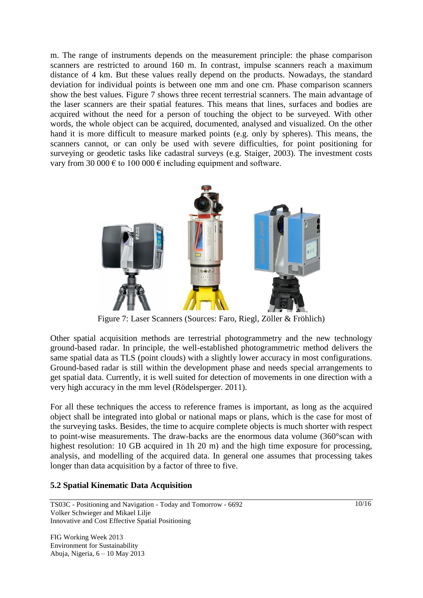m. The range of instruments depends on the measurement principle: the phase comparison scanners are restricted to around 160 m. In contrast, impulse scanners reach a maximum distance of 4 km. But these values really depend on the products. Nowadays, the standard deviation for individual points is between one mm and one cm. Phase comparison scanners show the best values. Figure 7 shows three recent terrestrial scanners. The main advantage of the laser scanners are their spatial features. This means that lines, surfaces and bodies are acquired without the need for a person of touching the object to be surveyed. With other words, the whole object can be acquired, documented, analysed and visualized. On the other hand it is more difficult to measure marked points (e.g. only by spheres). This means, the scanners cannot, or can only be used with severe difficulties, for point positioning for surveying or geodetic tasks like cadastral surveys (e.g. Staiger, 2003). The investment costs vary from 30 000  $\epsilon$  to 100 000  $\epsilon$  including equipment and software.



Figure 7: Laser Scanners (Sources: Faro, Riegl, Zöller & Fröhlich)

Other spatial acquisition methods are terrestrial photogrammetry and the new technology ground-based radar. In principle, the well-established photogrammetric method delivers the same spatial data as TLS (point clouds) with a slightly lower accuracy in most configurations. Ground-based radar is still within the development phase and needs special arrangements to get spatial data. Currently, it is well suited for detection of movements in one direction with a very high accuracy in the mm level (Rödelsperger. 2011).

For all these techniques the access to reference frames is important, as long as the acquired object shall be integrated into global or national maps or plans, which is the case for most of the surveying tasks. Besides, the time to acquire complete objects is much shorter with respect to point-wise measurements. The draw-backs are the enormous data volume (360°scan with highest resolution: 10 GB acquired in 1h 20 m) and the high time exposure for processing, analysis, and modelling of the acquired data. In general one assumes that processing takes longer than data acquisition by a factor of three to five.

## **5.2 Spatial Kinematic Data Acquisition**

TS03C - Positioning and Navigation - Today and Tomorrow - 6692 Volker Schwieger and Mikael Lilje Innovative and Cost Effective Spatial Positioning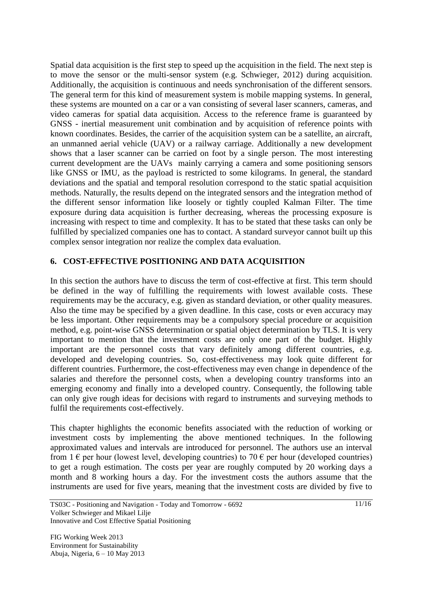Spatial data acquisition is the first step to speed up the acquisition in the field. The next step is to move the sensor or the multi-sensor system (e.g. Schwieger, 2012) during acquisition. Additionally, the acquisition is continuous and needs synchronisation of the different sensors. The general term for this kind of measurement system is mobile mapping systems. In general, these systems are mounted on a car or a van consisting of several laser scanners, cameras, and video cameras for spatial data acquisition. Access to the reference frame is guaranteed by GNSS - inertial measurement unit combination and by acquisition of reference points with known coordinates. Besides, the carrier of the acquisition system can be a satellite, an aircraft, an unmanned aerial vehicle (UAV) or a railway carriage. Additionally a new development shows that a laser scanner can be carried on foot by a single person. The most interesting current development are the UAVs mainly carrying a camera and some positioning sensors like GNSS or IMU, as the payload is restricted to some kilograms. In general, the standard deviations and the spatial and temporal resolution correspond to the static spatial acquisition methods. Naturally, the results depend on the integrated sensors and the integration method of the different sensor information like loosely or tightly coupled Kalman Filter. The time exposure during data acquisition is further decreasing, whereas the processing exposure is increasing with respect to time and complexity. It has to be stated that these tasks can only be fulfilled by specialized companies one has to contact. A standard surveyor cannot built up this complex sensor integration nor realize the complex data evaluation.

#### **6. COST-EFFECTIVE POSITIONING AND DATA ACQUISITION**

In this section the authors have to discuss the term of cost-effective at first. This term should be defined in the way of fulfilling the requirements with lowest available costs. These requirements may be the accuracy, e.g. given as standard deviation, or other quality measures. Also the time may be specified by a given deadline. In this case, costs or even accuracy may be less important. Other requirements may be a compulsory special procedure or acquisition method, e.g. point-wise GNSS determination or spatial object determination by TLS. It is very important to mention that the investment costs are only one part of the budget. Highly important are the personnel costs that vary definitely among different countries, e.g. developed and developing countries. So, cost-effectiveness may look quite different for different countries. Furthermore, the cost-effectiveness may even change in dependence of the salaries and therefore the personnel costs, when a developing country transforms into an emerging economy and finally into a developed country. Consequently, the following table can only give rough ideas for decisions with regard to instruments and surveying methods to fulfil the requirements cost-effectively.

This chapter highlights the economic benefits associated with the reduction of working or investment costs by implementing the above mentioned techniques. In the following approximated values and intervals are introduced for personnel. The authors use an interval from 1  $\epsilon$  per hour (lowest level, developing countries) to 70  $\epsilon$  per hour (developed countries) to get a rough estimation. The costs per year are roughly computed by 20 working days a month and 8 working hours a day. For the investment costs the authors assume that the instruments are used for five years, meaning that the investment costs are divided by five to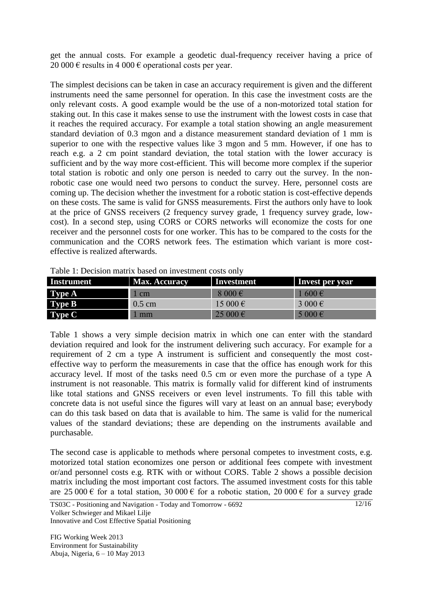get the annual costs. For example a geodetic dual-frequency receiver having a price of 20 000  $\epsilon$  results in 4 000  $\epsilon$  operational costs per year.

The simplest decisions can be taken in case an accuracy requirement is given and the different instruments need the same personnel for operation. In this case the investment costs are the only relevant costs. A good example would be the use of a non-motorized total station for staking out. In this case it makes sense to use the instrument with the lowest costs in case that it reaches the required accuracy. For example a total station showing an angle measurement standard deviation of 0.3 mgon and a distance measurement standard deviation of 1 mm is superior to one with the respective values like 3 mgon and 5 mm. However, if one has to reach e.g. a 2 cm point standard deviation, the total station with the lower accuracy is sufficient and by the way more cost-efficient. This will become more complex if the superior total station is robotic and only one person is needed to carry out the survey. In the nonrobotic case one would need two persons to conduct the survey. Here, personnel costs are coming up. The decision whether the investment for a robotic station is cost-effective depends on these costs. The same is valid for GNSS measurements. First the authors only have to look at the price of GNSS receivers (2 frequency survey grade, 1 frequency survey grade, lowcost). In a second step, using CORS or CORS networks will economize the costs for one receiver and the personnel costs for one worker. This has to be compared to the costs for the communication and the CORS network fees. The estimation which variant is more costeffective is realized afterwards.

| TWOTO IT DOUBLOIL INMULTA OUGOU ON INTOGRAPHONE CODED ONLY |                            |                   |                  |  |  |  |  |
|------------------------------------------------------------|----------------------------|-------------------|------------------|--|--|--|--|
| <b>Instrument</b>                                          | <b>Max. Accuracy</b>       | <b>Investment</b> | Invest per year  |  |  |  |  |
| <b>Type A</b>                                              | 1 cm                       | $8000 \in$        | 1600€            |  |  |  |  |
| <b>Type B</b>                                              | $0.5 \text{ cm}$           | 15 000 €          | 3 000 $\epsilon$ |  |  |  |  |
| <b>Type C</b>                                              | $\mathop{\rm Im}\nolimits$ | 25000€            | $5000 \in$       |  |  |  |  |

Table 1: Decision matrix based on investment costs only

Table 1 shows a very simple decision matrix in which one can enter with the standard deviation required and look for the instrument delivering such accuracy. For example for a requirement of 2 cm a type A instrument is sufficient and consequently the most costeffective way to perform the measurements in case that the office has enough work for this accuracy level. If most of the tasks need 0.5 cm or even more the purchase of a type A instrument is not reasonable. This matrix is formally valid for different kind of instruments like total stations and GNSS receivers or even level instruments. To fill this table with concrete data is not useful since the figures will vary at least on an annual base; everybody can do this task based on data that is available to him. The same is valid for the numerical values of the standard deviations; these are depending on the instruments available and purchasable.

The second case is applicable to methods where personal competes to investment costs, e.g. motorized total station economizes one person or additional fees compete with investment or/and personnel costs e.g. RTK with or without CORS. Table 2 shows a possible decision matrix including the most important cost factors. The assumed investment costs for this table are 25 000  $\epsilon$  for a total station, 30 000  $\epsilon$  for a robotic station, 20 000  $\epsilon$  for a survey grade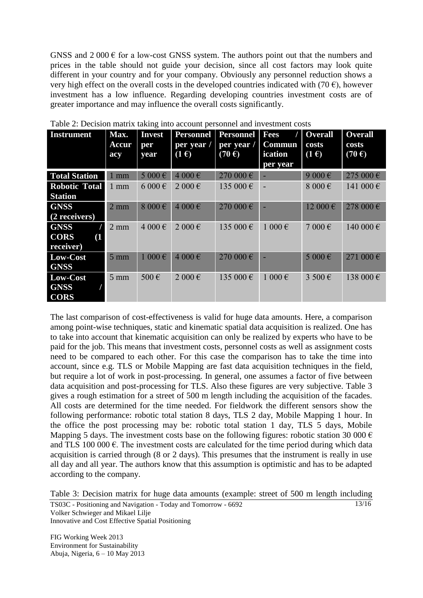GNSS and  $2000 \in$  for a low-cost GNSS system. The authors point out that the numbers and prices in the table should not guide your decision, since all cost factors may look quite different in your country and for your company. Obviously any personnel reduction shows a very high effect on the overall costs in the developed countries indicated with (70  $\epsilon$ ), however investment has a low influence. Regarding developing countries investment costs are of greater importance and may influence the overall costs significantly.

| <b>Instrument</b>                              | Max.<br>Accur<br>acy | <b>Invest</b><br>per<br>year | <b>Personnel</b><br>per year /<br>$(1 \epsilon)$ | <b>Personnel</b><br>per year /<br>$(70 \epsilon)$ | Fees<br><b>Commun</b><br>ication<br>per year | <b>Overall</b><br>costs<br>$(1 \epsilon)$ | <b>Overall</b><br>costs<br>$(70 \in)$ |
|------------------------------------------------|----------------------|------------------------------|--------------------------------------------------|---------------------------------------------------|----------------------------------------------|-------------------------------------------|---------------------------------------|
| <b>Total Station</b>                           | mm                   | 5 000€                       | 4000€                                            | 270 000 €                                         | ۳                                            | 9 000€                                    | 275 000€                              |
| <b>Robotic Total</b><br><b>Station</b>         | $1 \text{ mm}$       | $6000 \in$                   | $2000 \in$                                       | 135 000 €                                         | L,                                           | $8000 \in$                                | 141 000 €                             |
| <b>GNSS</b><br>(2 receivers)                   | $2 \text{ mm}$       | $8000 \in$                   | 4000€                                            | 270 000 €                                         |                                              | 12 000€                                   | 278 000 €                             |
| <b>GNSS</b><br><b>CORS</b><br>(1)<br>receiver) | $2 \text{ mm}$       | 4000€                        | 2000€                                            | 135 000 €                                         | 1000€                                        | 7 000€                                    | 140 000 €                             |
| <b>Low-Cost</b><br><b>GNSS</b>                 | $5 \text{ mm}$       | $1000 \in$                   | 4000€                                            | 270 000 €                                         |                                              | 5 000€                                    | 271 000€                              |
| <b>Low-Cost</b><br><b>GNSS</b><br><b>CORS</b>  | $5 \text{ mm}$       | 500€                         | 2000€                                            | 135 000 €                                         | $1000 \in$                                   | 3500€                                     | 138 000 €                             |

Table 2: Decision matrix taking into account personnel and investment costs

The last comparison of cost-effectiveness is valid for huge data amounts. Here, a comparison among point-wise techniques, static and kinematic spatial data acquisition is realized. One has to take into account that kinematic acquisition can only be realized by experts who have to be paid for the job. This means that investment costs, personnel costs as well as assignment costs need to be compared to each other. For this case the comparison has to take the time into account, since e.g. TLS or Mobile Mapping are fast data acquisition techniques in the field, but require a lot of work in post-processing. In general, one assumes a factor of five between data acquisition and post-processing for TLS. Also these figures are very subjective. Table 3 gives a rough estimation for a street of 500 m length including the acquisition of the facades. All costs are determined for the time needed. For fieldwork the different sensors show the following performance: robotic total station 8 days, TLS 2 day, Mobile Mapping 1 hour. In the office the post processing may be: robotic total station 1 day, TLS 5 days, Mobile Mapping 5 days. The investment costs base on the following figures: robotic station 30 000  $\epsilon$ and TLS 100 000  $\epsilon$ . The investment costs are calculated for the time period during which data acquisition is carried through (8 or 2 days). This presumes that the instrument is really in use all day and all year. The authors know that this assumption is optimistic and has to be adapted according to the company.

13/16 Table 3: Decision matrix for huge data amounts (example: street of 500 m length including

TS03C - Positioning and Navigation - Today and Tomorrow - 6692 Volker Schwieger and Mikael Lilje Innovative and Cost Effective Spatial Positioning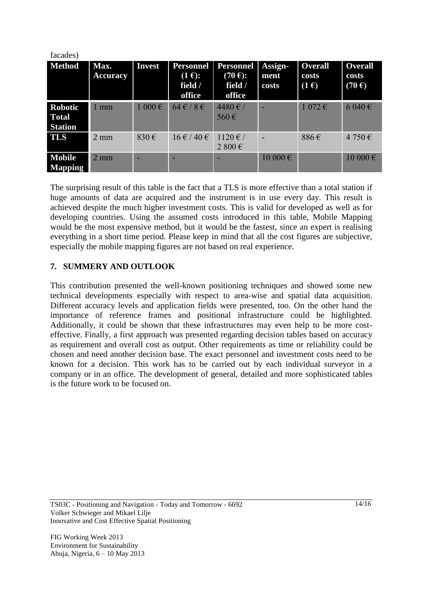| facades)                                         |                         |               |                                                           |                                                        |                          |                                           |                                            |
|--------------------------------------------------|-------------------------|---------------|-----------------------------------------------------------|--------------------------------------------------------|--------------------------|-------------------------------------------|--------------------------------------------|
| <b>Method</b>                                    | Max.<br><b>Accuracy</b> | <b>Invest</b> | <b>Personnel</b><br>$(1 \epsilon)$ :<br>field /<br>office | <b>Personnel</b><br>$(70 \in )$ :<br>field /<br>office | Assign-<br>ment<br>costs | <b>Overall</b><br>costs<br>$(1 \epsilon)$ | <b>Overall</b><br>costs<br>$(70 \epsilon)$ |
| <b>Robotic</b><br><b>Total</b><br><b>Station</b> | 1 mm                    | $1000 \in$    | $64 \text{ } \in 78 \text{ } \in$                         | 4480€<br>560€                                          |                          | $1072 \in$                                | 6040€                                      |
| <b>TLS</b>                                       | $2 \text{ mm}$          | 830€          | $16 \in 740 \in$                                          | $1120 \text{ } \in \mathcal{V}$<br>2 800 €             |                          | 886€                                      | 4 750 €                                    |
| <b>Mobile</b><br><b>Mapping</b>                  | $2 \text{ mm}$          |               |                                                           |                                                        | 10000€                   |                                           | 10000€                                     |

The surprising result of this table is the fact that a TLS is more effective than a total station if huge amounts of data are acquired and the instrument is in use every day. This result is achieved despite the much higher investment costs. This is valid for developed as well as for developing countries. Using the assumed costs introduced in this table, Mobile Mapping would be the most expensive method, but it would be the fastest, since an expert is realising everything in a short time period. Please keep in mind that all the cost figures are subjective, especially the mobile mapping figures are not based on real experience.

## **7. SUMMERY AND OUTLOOK**

This contribution presented the well-known positioning techniques and showed some new technical developments especially with respect to area-wise and spatial data acquisition. Different accuracy levels and application fields were presented, too. On the other hand the importance of reference frames and positional infrastructure could be highlighted. Additionally, it could be shown that these infrastructures may even help to be more costeffective. Finally, a first approach was presented regarding decision tables based on accuracy as requirement and overall cost as output. Other requirements as time or reliability could be chosen and need another decision base. The exact personnel and investment costs need to be known for a decision. This work has to be carried out by each individual surveyor in a company or in an office. The development of general, detailed and more sophisticated tables is the future work to be focused on.

TS03C - Positioning and Navigation - Today and Tomorrow - 6692 Volker Schwieger and Mikael Lilje Innovative and Cost Effective Spatial Positioning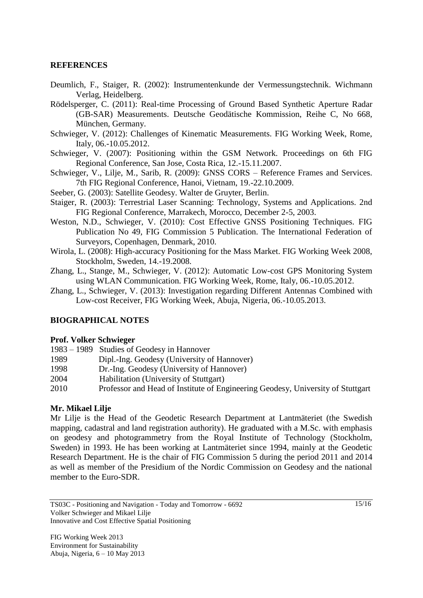#### **REFERENCES**

- Deumlich, F., Staiger, R. (2002): Instrumentenkunde der Vermessungstechnik. Wichmann Verlag, Heidelberg.
- Rödelsperger, C. (2011): Real-time Processing of Ground Based Synthetic Aperture Radar (GB-SAR) Measurements. Deutsche Geodätische Kommission, Reihe C, No 668, München, Germany.
- Schwieger, V. (2012): Challenges of Kinematic Measurements. FIG Working Week, Rome, Italy, 06.-10.05.2012.
- Schwieger, V. (2007): Positioning within the GSM Network. Proceedings on 6th FIG Regional Conference, San Jose, Costa Rica, 12.-15.11.2007.
- Schwieger, V., Lilje, M., Sarib, R. (2009): GNSS CORS Reference Frames and Services. 7th FIG Regional Conference, Hanoi, Vietnam, 19.-22.10.2009.
- Seeber, G. (2003): Satellite Geodesy. Walter de Gruyter, Berlin.
- Staiger, R. (2003): Terrestrial Laser Scanning: Technology, Systems and Applications. 2nd FIG Regional Conference, Marrakech, Morocco, December 2-5, 2003.
- Weston, N.D., Schwieger, V. (2010): Cost Effective GNSS Positioning Techniques. FIG Publication No 49, FIG Commission 5 Publication. The International Federation of Surveyors, Copenhagen, Denmark, 2010.
- Wirola, L. (2008): High-accuracy Positioning for the Mass Market. FIG Working Week 2008, Stockholm, Sweden, 14.-19.2008.
- Zhang, L., Stange, M., Schwieger, V. (2012): Automatic Low-cost GPS Monitoring System using WLAN Communication. FIG Working Week, Rome, Italy, 06.-10.05.2012.
- Zhang, L., Schwieger, V. (2013): Investigation regarding Different Antennas Combined with Low-cost Receiver, FIG Working Week, Abuja, Nigeria, 06.-10.05.2013.

#### **BIOGRAPHICAL NOTES**

#### **Prof. Volker Schwieger**

- 1983 1989 Studies of Geodesy in Hannover
- 1989 Dipl.-Ing. Geodesy (University of Hannover)
- 1998 Dr.-Ing. Geodesy (University of Hannover)
- 2004 Habilitation (University of Stuttgart)
- 2010 Professor and Head of Institute of Engineering Geodesy, University of Stuttgart

#### **Mr. Mikael Lilje**

Mr Lilje is the Head of the Geodetic Research Department at Lantmäteriet (the Swedish mapping, cadastral and land registration authority). He graduated with a M.Sc. with emphasis on geodesy and photogrammetry from the Royal Institute of Technology (Stockholm, Sweden) in 1993. He has been working at Lantmäteriet since 1994, mainly at the Geodetic Research Department. He is the chair of FIG Commission 5 during the period 2011 and 2014 as well as member of the Presidium of the Nordic Commission on Geodesy and the national member to the Euro-SDR.